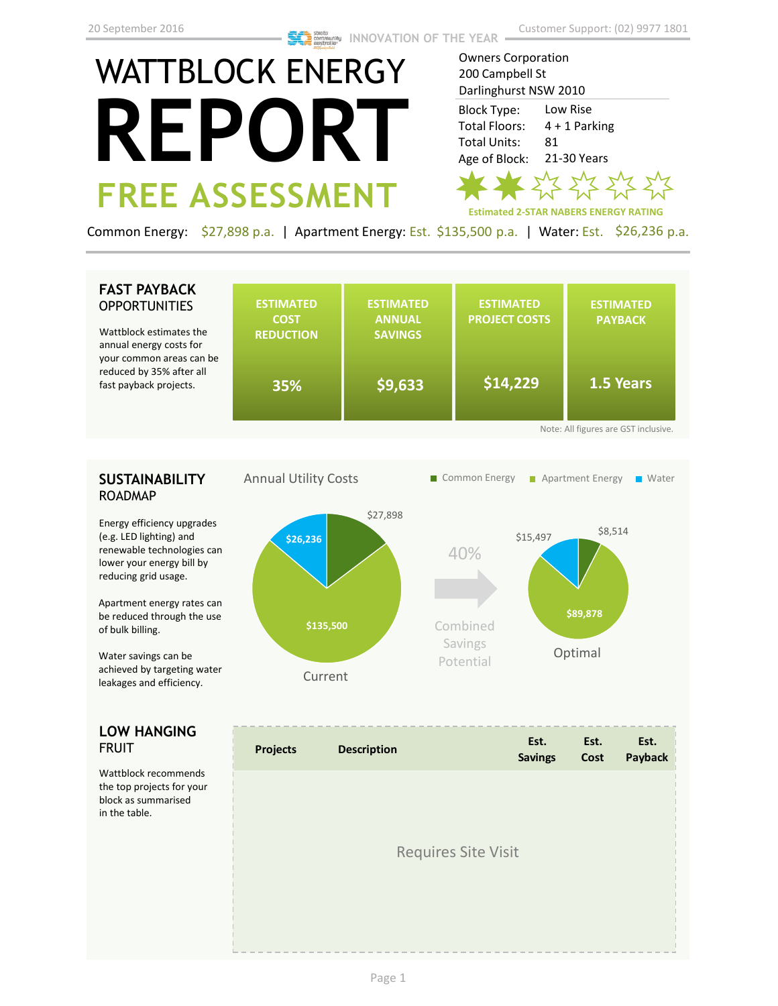# WATTBLOCK ENERGY **REPORT FREE ASSESSMENT**

Owners Corporation 200 Campbell St Darlinghurst NSW 2010 Low Rise Block Type: Total Floors:

4 + 1 Parking 81 21-30 Years Total Units: Age of Block:



Common Energy: \$27,898 p.a. | Apartment Energy: Est. \$135,500 p.a. | Water: Est. \$26,236 p.a.

## **FAST PAYBACK OPPORTUNITIES**

Wattblock estimates annual energy costs f your common areas c reduced by 35% after fast payback projects.

| the<br>or                            | <b>ESTIMATED</b><br><b>COST</b><br><b>REDUCTION</b> | <b>ESTIMATED</b><br><b>ANNUAL</b><br><b>SAVINGS</b> | <b>ESTIMATED</b><br><b>PROJECT COSTS</b> | <b>ESTIMATED</b><br><b>PAYBACK</b> |  |  |
|--------------------------------------|-----------------------------------------------------|-----------------------------------------------------|------------------------------------------|------------------------------------|--|--|
| can be<br>r all<br>i.                | 35%                                                 | \$9,633                                             | \$14,229                                 | 1.5 Years                          |  |  |
| Note: All figures are GST inclusive. |                                                     |                                                     |                                          |                                    |  |  |

# **SUSTAINABILITY** ROADMAP

Energy efficiency upgrades (e.g. LED lighting) and renewable technologies can lower your energy bill by reducing grid usage.

Apartment energy rates can be reduced through the use of bulk billing.

Water savings can be achieved by targeting water leakages and efficiency.

## **LOW HANGING**  FRUIT

Wattblock recommends the top projects for your block as summarised in the table.